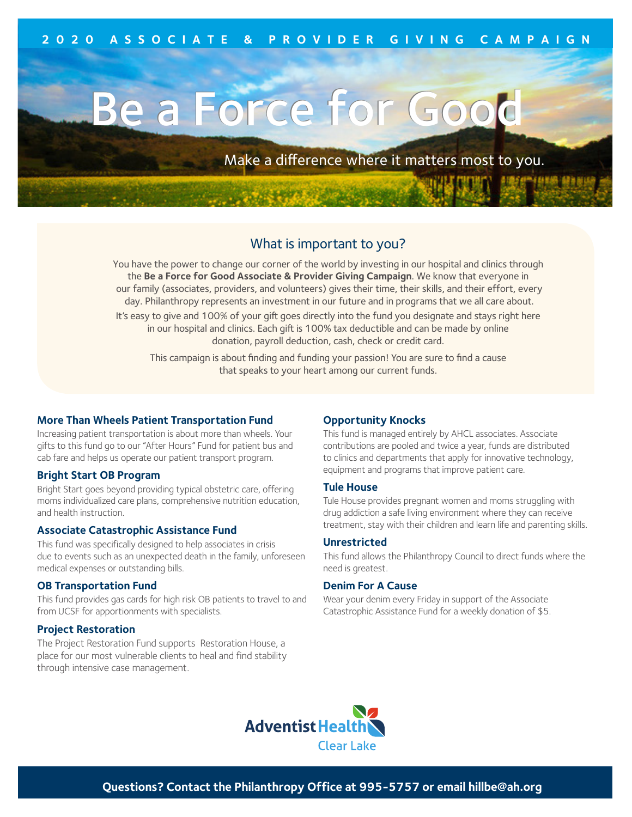# Be a Force for Good

Make a difference where it matters most to you.

## What is important to you?

You have the power to change our corner of the world by investing in our hospital and clinics through the **Be a Force for Good Associate & Provider Giving Campaign**. We know that everyone in our family (associates, providers, and volunteers) gives their time, their skills, and their effort, every day. Philanthropy represents an investment in our future and in programs that we all care about.

It's easy to give and 100% of your gift goes directly into the fund you designate and stays right here in our hospital and clinics. Each gift is 100% tax deductible and can be made by online donation, payroll deduction, cash, check or credit card.

This campaign is about finding and funding your passion! You are sure to find a cause that speaks to your heart among our current funds.

#### **More Than Wheels Patient Transportation Fund**

Increasing patient transportation is about more than wheels. Your gifts to this fund go to our "After Hours" Fund for patient bus and cab fare and helps us operate our patient transport program.

#### **Bright Start OB Program**

Bright Start goes beyond providing typical obstetric care, offering moms individualized care plans, comprehensive nutrition education, and health instruction.

#### **Associate Catastrophic Assistance Fund**

This fund was specifically designed to help associates in crisis due to events such as an unexpected death in the family, unforeseen medical expenses or outstanding bills.

#### **OB Transportation Fund**

This fund provides gas cards for high risk OB patients to travel to and from UCSF for apportionments with specialists.

#### **Project Restoration**

The Project Restoration Fund supports Restoration House, a place for our most vulnerable clients to heal and find stability through intensive case management.

#### **Opportunity Knocks**

This fund is managed entirely by AHCL associates. Associate contributions are pooled and twice a year, funds are distributed to clinics and departments that apply for innovative technology, equipment and programs that improve patient care.

#### **Tule House**

Tule House provides pregnant women and moms struggling with drug addiction a safe living environment where they can receive treatment, stay with their children and learn life and parenting skills.

#### **Unrestricted**

This fund allows the Philanthropy Council to direct funds where the need is greatest.

#### **Denim For A Cause**

Wear your denim every Friday in support of the Associate Catastrophic Assistance Fund for a weekly donation of \$5.